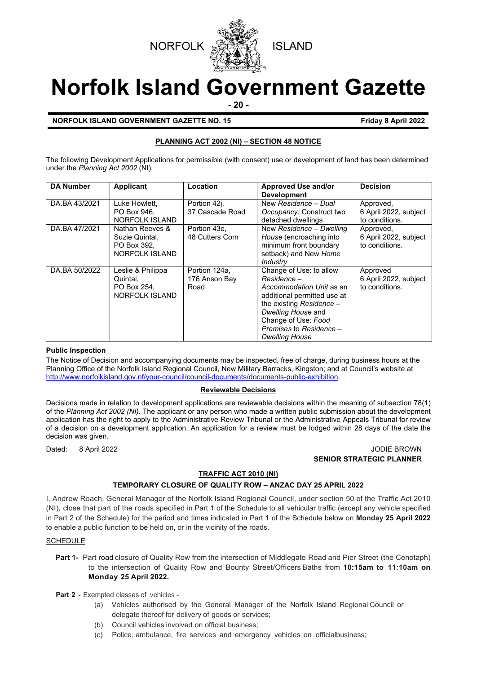



# **Norfolk Island Government Gazette**

**- 20 -**

# **NORFOLK ISLAND GOVERNMENT GAZETTE NO. 15 Friday 8 April 2022**

# **PLANNING ACT 2002 (NI) – SECTION 48 NOTICE**

The following Development Applications for permissible (with consent) use or development of land has been determined under the *Planning Act 2002* (NI).

| <b>DA Number</b> | <b>Applicant</b>                                                          | Location                               | Approved Use and/or<br><b>Development</b>                                                                                                                                                                                        | <b>Decision</b>                                      |
|------------------|---------------------------------------------------------------------------|----------------------------------------|----------------------------------------------------------------------------------------------------------------------------------------------------------------------------------------------------------------------------------|------------------------------------------------------|
| DA.BA 43/2021    | Luke Howlett,<br>PO Box 946.<br>NORFOLK ISLAND                            | Portion 42j,<br>37 Cascade Road        | New Residence - Dual<br>Occupancy: Construct two<br>detached dwellings                                                                                                                                                           | Approved,<br>6 April 2022, subject<br>to conditions. |
| DA.BA 47/2021    | Nathan Reeves &<br>Suzie Quintal,<br>PO Box 392.<br><b>NORFOLK ISLAND</b> | Portion 43e,<br>48 Cutters Corn        | New Residence - Dwelling<br>House (encroaching into<br>minimum front boundary<br>setback) and New Home<br>Industry                                                                                                               | Approved,<br>6 April 2022, subject<br>to conditions. |
| DA.BA 50/2022    | Leslie & Philippa<br>Quintal,<br>PO Box 254.<br>NORFOLK ISLAND            | Portion 124a,<br>176 Anson Bay<br>Road | Change of Use: to allow<br>Residence –<br>Accommodation Unit as an<br>additional permitted use at<br>the existing Residence $-$<br>Dwelling House and<br>Change of Use: Food<br>Premises to Residence -<br><b>Dwelling House</b> | Approved<br>6 April 2022, subject<br>to conditions.  |

# **Public Inspection**

The Notice of Decision and accompanying documents may be inspected, free of charge, during business hours at the Planning Office of the Norfolk Island Regional Council, New Military Barracks, Kingston; and at Council's website at [http://www.norfolkisland.gov.nf/your-council/council-documents/documents-public-exhibition.](http://www.norfolkisland.gov.nf/your-council/council-documents/documents-public-exhibition)

### **Reviewable Decisions**

Decisions made in relation to development applications are reviewable decisions within the meaning of subsection 78(1) of the *Planning Act 2002 (NI).* The applicant or any person who made a written public submission about the development application has the right to apply to the Administrative Review Tribunal or the Administrative Appeals Tribunal for review of a decision on a development application. An application for a review must be lodged within 28 days of the date the decision was given.

Dated: 8 April 2022 **John Brown Brown Brown Brown Brown Brown Brown Brown Brown Brown Brown Brown Brown Brown Brown Brown Brown Brown Brown Brown Brown Brown Brown Brown Brown Brown Brown Brown Brown Brown Brown Brown Brow SENIOR STRATEGIC PLANNER**

### **TRAFFIC ACT 2010 (NI)**

# **TEMPORARY CLOSURE OF QUALITY ROW – ANZAC DAY 25 APRIL 2022**

I, Andrew Roach, General Manager of the Norfolk Island Regional Council, under section 50 of the Traffic Act 2010 (NI), close that part of the roads specified in Part 1 of the Schedule to all vehicular traffic (except any vehicle specified in Part 2 of the Schedule) for the period and times indicated in Part 1 of the Schedule below on **Monday 25 April 2022** to enable a public function to be held on, or in the vicinity of the roads.

### **SCHEDULE**

**Part 1-** Part road closure of Quality Row from the intersection of Middlegate Road and Pier Street (the Cenotaph) to the intersection of Quality Row and Bounty Street/Officers Baths from **10:15am to 11:10am on Monday 25 April 2022.**

### **Part 2 -** Exempted classes of vehicles -

- (a) Vehicles authorised by the General Manager of the Norfolk Island Regional Council or delegate thereof for delivery of goods or services;
- (b) Council vehicles involved on official business;
- (c) Police, ambulance, fire services and emergency vehicles on officialbusiness;